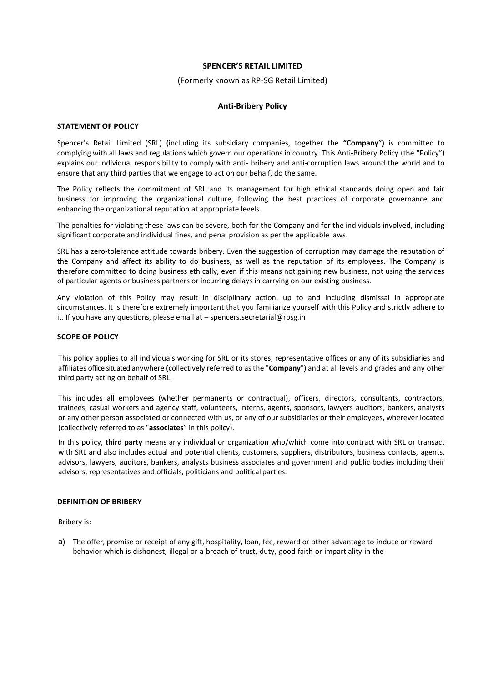# **SPENCER'S RETAIL LIMITED**

#### (Formerly known as RP-SG Retail Limited)

#### **Anti-Bribery Policy**

#### **STATEMENT OF POLICY**

Spencer's Retail Limited (SRL) (including its subsidiary companies, together the **"Company**") is committed to complying with all laws and regulations which govern our operations in country. This Anti-Bribery Policy (the "Policy") explains our individual responsibility to comply with anti- bribery and anti-corruption laws around the world and to ensure that any third parties that we engage to act on our behalf, do the same.

The Policy reflects the commitment of SRL and its management for high ethical standards doing open and fair business for improving the organizational culture, following the best practices of corporate governance and enhancing the organizational reputation at appropriate levels.

The penalties for violating these laws can be severe, both for the Company and for the individuals involved, including significant corporate and individual fines, and penal provision as per the applicable laws.

SRL has a zero-tolerance attitude towards bribery. Even the suggestion of corruption may damage the reputation of the Company and affect its ability to do business, as well as the reputation of its employees. The Company is therefore committed to doing business ethically, even if this means not gaining new business, not using the services of particular agents or business partners or incurring delays in carrying on our existing business.

Any violation of this Policy may result in disciplinary action, up to and including dismissal in appropriate circumstances. It is therefore extremely important that you familiarize yourself with this Policy and strictly adhere to it. If you have any questions, please email at – spencers.secretarial@rpsg.in

# **SCOPE OF POLICY**

This policy applies to all individuals working for SRL or its stores, representative offices or any of its subsidiaries and affiliates office situated anywhere (collectively referred to asthe "**Company**") and at all levels and grades and any other third party acting on behalf of SRL.

This includes all employees (whether permanents or contractual), officers, directors, consultants, contractors, trainees, casual workers and agency staff, volunteers, interns, agents, sponsors, lawyers auditors, bankers, analysts or any other person associated or connected with us, or any of our subsidiaries or their employees, wherever located (collectively referred to as "**associates**" in this policy).

In this policy, **third party** means any individual or organization who/which come into contract with SRL or transact with SRL and also includes actual and potential clients, customers, suppliers, distributors, business contacts, agents, advisors, lawyers, auditors, bankers, analysts business associates and government and public bodies including their advisors, representatives and officials, politicians and political parties.

#### **DEFINITION OF BRIBERY**

Bribery is:

a) The offer, promise or receipt of any gift, hospitality, loan, fee, reward or other advantage to induce or reward behavior which is dishonest, illegal or a breach of trust, duty, good faith or impartiality in the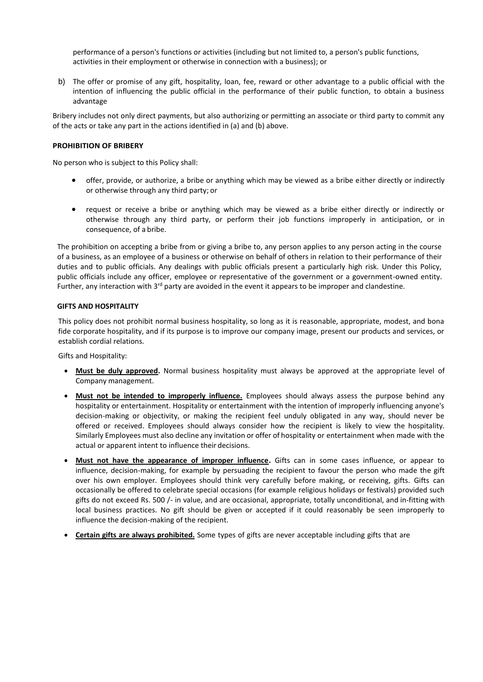performance of a person's functions or activities (including but not limited to, a person's public functions, activities in their employment or otherwise in connection with a business); or

b) The offer or promise of any gift, hospitality, loan, fee, reward or other advantage to a public official with the intention of influencing the public official in the performance of their public function, to obtain a business advantage

Bribery includes not only direct payments, but also authorizing or permitting an associate or third party to commit any of the acts or take any part in the actions identified in (a) and (b) above.

# **PROHIBITION OF BRIBERY**

No person who is subject to this Policy shall:

- offer, provide, or authorize, a bribe or anything which may be viewed as a bribe either directly or indirectly or otherwise through any third party; or
- request or receive a bribe or anything which may be viewed as a bribe either directly or indirectly or otherwise through any third party, or perform their job functions improperly in anticipation, or in consequence, of a bribe.

The prohibition on accepting a bribe from or giving a bribe to, any person applies to any person acting in the course of a business, as an employee of a business or otherwise on behalf of others in relation to their performance of their duties and to public officials. Any dealings with public officials present a particularly high risk. Under this Policy, public officials include any officer, employee or representative of the government or a government-owned entity. Further, any interaction with  $3<sup>rd</sup>$  party are avoided in the event it appears to be improper and clandestine.

# **GIFTS AND HOSPITALITY**

This policy does not prohibit normal business hospitality, so long as it is reasonable, appropriate, modest, and bona fide corporate hospitality, and if its purpose is to improve our company image, present our products and services, or establish cordial relations.

Gifts and Hospitality:

- **Must be duly approved.** Normal business hospitality must always be approved at the appropriate level of Company management.
- **Must not be intended to improperly influence.** Employees should always assess the purpose behind any hospitality or entertainment. Hospitality or entertainment with the intention of improperly influencing anyone's decision-making or objectivity, or making the recipient feel unduly obligated in any way, should never be offered or received. Employees should always consider how the recipient is likely to view the hospitality. Similarly Employees must also decline any invitation or offer of hospitality or entertainment when made with the actual or apparent intent to influence their decisions.
- **Must not have the appearance of improper influence.** Gifts can in some cases influence, or appear to influence, decision-making, for example by persuading the recipient to favour the person who made the gift over his own employer. Employees should think very carefully before making, or receiving, gifts. Gifts can occasionally be offered to celebrate special occasions (for example religious holidays or festivals) provided such gifts do not exceed Rs. 500 /- in value, and are occasional, appropriate, totally unconditional, and in-fitting with local business practices. No gift should be given or accepted if it could reasonably be seen improperly to influence the decision-making of the recipient.
- **Certain gifts are always prohibited.** Some types of gifts are never acceptable including gifts that are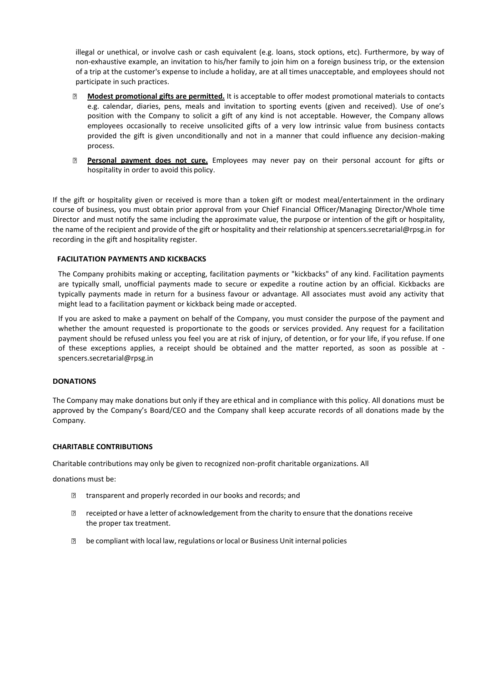illegal or unethical, or involve cash or cash equivalent (e.g. loans, stock options, etc). Furthermore, by way of non-exhaustive example, an invitation to his/her family to join him on a foreign business trip, or the extension of a trip at the customer's expense to include a holiday, are at all times unacceptable, and employees should not participate in such practices.

- $\overline{?}$ **Modest promotional gifts are permitted.** It is acceptable to offer modest promotional materials to contacts e.g. calendar, diaries, pens, meals and invitation to sporting events (given and received). Use of one's position with the Company to solicit a gift of any kind is not acceptable. However, the Company allows employees occasionally to receive unsolicited gifts of a very low intrinsic value from business contacts provided the gift is given unconditionally and not in a manner that could influence any decision-making process.
- **Personal payment does not cure.** Employees may never pay on their personal account for gifts or  $\overline{2}$ hospitality in order to avoid this policy.

If the gift or hospitality given or received is more than a token gift or modest meal/entertainment in the ordinary course of business, you must obtain prior approval from your Chief Financial Officer/Managing Director/Whole time Director and must notify the same including the approximate value, the purpose or intention of the gift or hospitality, the name of the recipient and provide of the gift or hospitality and their relationship at spencers.secretarial@rpsg.in for recording in the gift and hospitality register.

# **FACILITATION PAYMENTS AND KICKBACKS**

The Company prohibits making or accepting, facilitation payments or "kickbacks" of any kind. Facilitation payments are typically small, unofficial payments made to secure or expedite a routine action by an official. Kickbacks are typically payments made in return for a business favour or advantage. All associates must avoid any activity that might lead to a facilitation payment or kickback being made or accepted.

If you are asked to make a payment on behalf of the Company, you must consider the purpose of the payment and whether the amount requested is proportionate to the goods or services provided. Any request for a facilitation payment should be refused unless you feel you are at risk of injury, of detention, or for your life, if you refuse. If one of these exceptions applies, a receipt should be obtained and the matter reported, as soon as possible at spencers.secretarial@rpsg.in

# **DONATIONS**

The Company may make donations but only if they are ethical and in compliance with this policy. All donations must be approved by the Company's Board/CEO and the Company shall keep accurate records of all donations made by the Company.

# **CHARITABLE CONTRIBUTIONS**

Charitable contributions may only be given to recognized non-profit charitable organizations. All

donations must be:

- transparent and properly recorded in our books and records; and  $\overline{P}$
- **If** receipted or have a letter of acknowledgement from the charity to ensure that the donations receive the proper tax treatment.
- be compliant with local law, regulations or local or Business Unit internal policies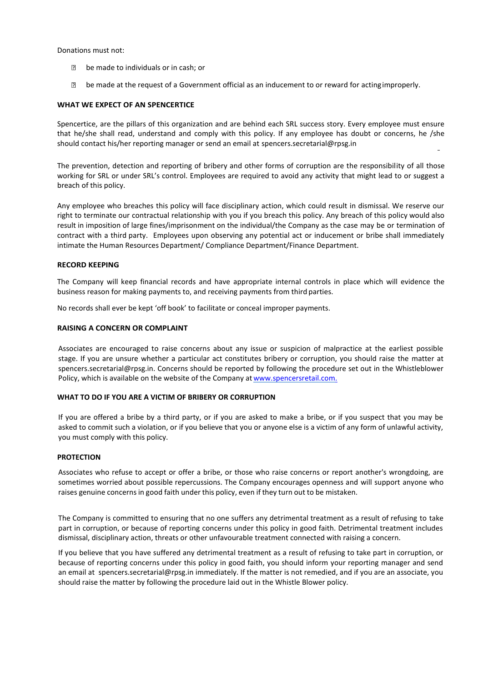Donations must not:

- **be made to individuals or in cash; or**
- be made at the request of a Government official as an inducement to or reward for actingimproperly.

# **WHAT WE EXPECT OF AN SPENCERTICE**

Spencertice, are the pillars of this organization and are behind each SRL success story. Every employee must ensure that he/she shall read, understand and comply with this policy. If any employee has doubt or concerns, he /she should contact his/her reporting manager or send an email at spencers.secretarial@rpsg.in

The prevention, detection and reporting of bribery and other forms of corruption are the responsibility of all those working for SRL or under SRL's control. Employees are required to avoid any activity that might lead to or suggest a breach of this policy.

Any employee who breaches this policy will face disciplinary action, which could result in dismissal. We reserve our right to terminate our contractual relationship with you if you breach this policy. Any breach of this policy would also result in imposition of large fines/imprisonment on the individual/the Company as the case may be or termination of contract with a third party. Employees upon observing any potential act or inducement or bribe shall immediately intimate the Human Resources Department/ Compliance Department/Finance Department.

# **RECORD KEEPING**

The Company will keep financial records and have appropriate internal controls in place which will evidence the business reason for making payments to, and receiving payments from third parties.

No records shall ever be kept 'off book' to facilitate or conceal improper payments.

# **RAISING A CONCERN OR COMPLAINT**

Associates are encouraged to raise concerns about any issue or suspicion of malpractice at the earliest possible stage. If you are unsure whether a particular act constitutes bribery or corruption, you should raise the matter at spencers.secretarial@rpsg.in. Concerns should be reported by following the procedure set out in the Whistleblower Policy, which is available on the website of the Company at [www.spencersretail.com.](http://www.spencersretail.com./)

#### **WHAT TO DO IF YOU ARE A VICTIM OF BRIBERY OR CORRUPTION**

If you are offered a bribe by a third party, or if you are asked to make a bribe, or if you suspect that you may be asked to commit such a violation, or if you believe that you or anyone else is a victim of any form of unlawful activity, you must comply with this policy.

#### **PROTECTION**

Associates who refuse to accept or offer a bribe, or those who raise concerns or report another's wrongdoing, are sometimes worried about possible repercussions. The Company encourages openness and will support anyone who raises genuine concerns in good faith under this policy, even if they turn out to be mistaken.

The Company is committed to ensuring that no one suffers any detrimental treatment as a result of refusing to take part in corruption, or because of reporting concerns under this policy in good faith. Detrimental treatment includes dismissal, disciplinary action, threats or other unfavourable treatment connected with raising a concern.

If you believe that you have suffered any detrimental treatment as a result of refusing to take part in corruption, or because of reporting concerns under this policy in good faith, you should inform your reporting manager and send an email at [spencers.secretarial@rpsg.in](mailto:pcbl.antibribery@rpsg.in) immediately. If the matter is not remedied, and if you are an associate, you should raise the matter by following the procedure laid out in the Whistle Blower policy.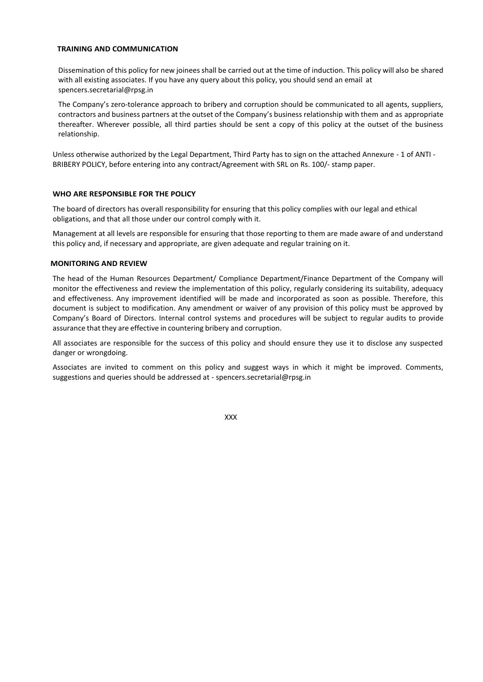# **TRAINING AND COMMUNICATION**

Dissemination of this policy for new joineesshall be carried out at the time of induction. This policy will also be shared with all existing associates. If you have any query about this policy, you should send an email at spencers.secretarial@rpsg.in

The Company's zero-tolerance approach to bribery and corruption should be communicated to all agents, suppliers, contractors and business partners at the outset of the Company's business relationship with them and as appropriate thereafter. Wherever possible, all third parties should be sent a copy of this policy at the outset of the business relationship.

Unless otherwise authorized by the Legal Department, Third Party has to sign on the attached Annexure - 1 of ANTI - BRIBERY POLICY, before entering into any contract/Agreement with SRL on Rs. 100/- stamp paper.

# **WHO ARE RESPONSIBLE FOR THE POLICY**

The board of directors has overall responsibility for ensuring that this policy complies with our legal and ethical obligations, and that all those under our control comply with it.

Management at all levels are responsible for ensuring that those reporting to them are made aware of and understand this policy and, if necessary and appropriate, are given adequate and regular training on it.

# **MONITORING AND REVIEW**

The head of the Human Resources Department/ Compliance Department/Finance Department of the Company will monitor the effectiveness and review the implementation of this policy, regularly considering its suitability, adequacy and effectiveness. Any improvement identified will be made and incorporated as soon as possible. Therefore, this document is subject to modification. Any amendment or waiver of any provision of this policy must be approved by Company's Board of Directors. Internal control systems and procedures will be subject to regular audits to provide assurance that they are effective in countering bribery and corruption.

All associates are responsible for the success of this policy and should ensure they use it to disclose any suspected danger or wrongdoing.

Associates are invited to comment on this policy and suggest ways in which it might be improved. Comments, suggestions and queries should be addressed at - spencers.secretarial@rpsg.in

XXX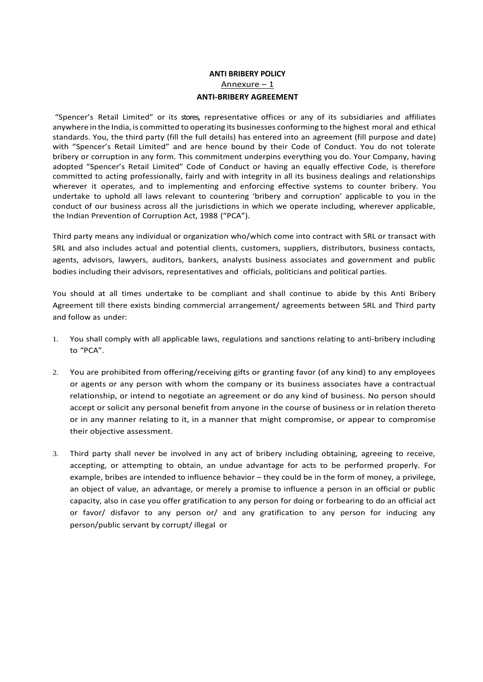# **ANTI BRIBERY POLICY** Annexure – 1 **ANTI-BRIBERY AGREEMENT**

"Spencer's Retail Limited" or its stores, representative offices or any of its subsidiaries and affiliates anywhere in the India, is committed to operating its businesses conforming to the highest moral and ethical standards. You, the third party (fill the full details) has entered into an agreement (fill purpose and date) with "Spencer's Retail Limited" and are hence bound by their Code of Conduct. You do not tolerate bribery or corruption in any form. This commitment underpins everything you do. Your Company, having adopted "Spencer's Retail Limited" Code of Conduct or having an equally effective Code, is therefore committed to acting professionally, fairly and with integrity in all its business dealings and relationships wherever it operates, and to implementing and enforcing effective systems to counter bribery. You undertake to uphold all laws relevant to countering 'bribery and corruption' applicable to you in the conduct of our business across all the jurisdictions in which we operate including, wherever applicable, the Indian Prevention of Corruption Act, 1988 ("PCA").

Third party means any individual or organization who/which come into contract with SRL or transact with SRL and also includes actual and potential clients, customers, suppliers, distributors, business contacts, agents, advisors, lawyers, auditors, bankers, analysts business associates and government and public bodies including their advisors, representatives and officials, politicians and political parties.

You should at all times undertake to be compliant and shall continue to abide by this Anti Bribery Agreement till there exists binding commercial arrangement/ agreements between SRL and Third party and follow as under:

- 1. You shall comply with all applicable laws, regulations and sanctions relating to anti-bribery including to "PCA".
- 2. You are prohibited from offering/receiving gifts or granting favor (of any kind) to any employees or agents or any person with whom the company or its business associates have a contractual relationship, or intend to negotiate an agreement or do any kind of business. No person should accept or solicit any personal benefit from anyone in the course of business or in relation thereto or in any manner relating to it, in a manner that might compromise, or appear to compromise their objective assessment.
- 3. Third party shall never be involved in any act of bribery including obtaining, agreeing to receive, accepting, or attempting to obtain, an undue advantage for acts to be performed properly. For example, bribes are intended to influence behavior – they could be in the form of money, a privilege, an object of value, an advantage, or merely a promise to influence a person in an official or public capacity, also in case you offer gratification to any person for doing or forbearing to do an official act or favor/ disfavor to any person or/ and any gratification to any person for inducing any person/public servant by corrupt/ illegal or